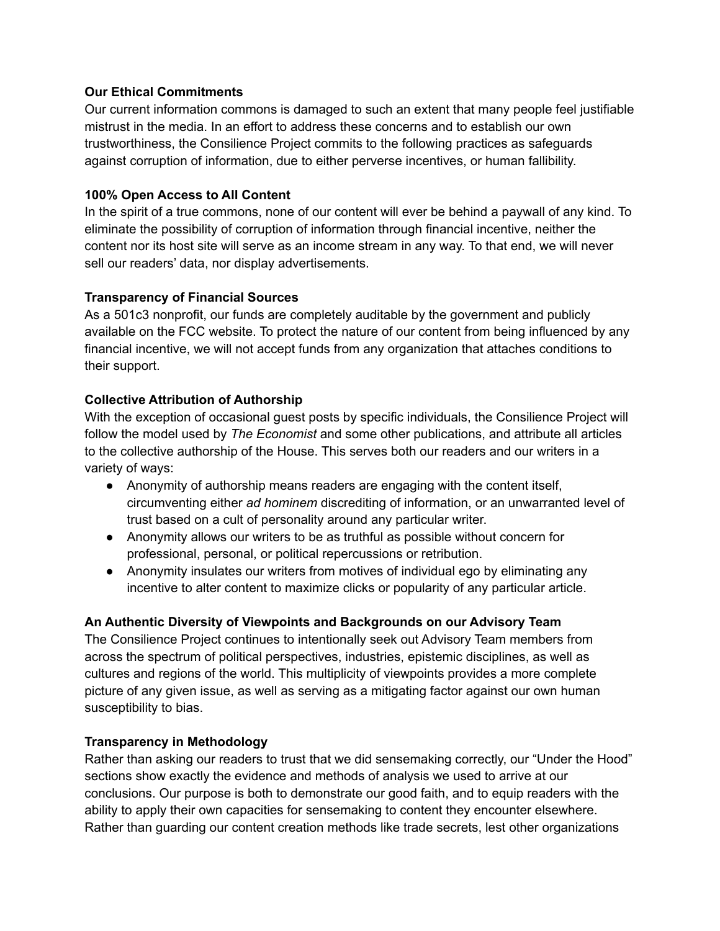# **Our Ethical Commitments**

Our current information commons is damaged to such an extent that many people feel justifiable mistrust in the media. In an effort to address these concerns and to establish our own trustworthiness, the Consilience Project commits to the following practices as safeguards against corruption of information, due to either perverse incentives, or human fallibility.

# **100% Open Access to All Content**

In the spirit of a true commons, none of our content will ever be behind a paywall of any kind. To eliminate the possibility of corruption of information through financial incentive, neither the content nor its host site will serve as an income stream in any way. To that end, we will never sell our readers' data, nor display advertisements.

# **Transparency of Financial Sources**

As a 501c3 nonprofit, our funds are completely auditable by the government and publicly available on the FCC website. To protect the nature of our content from being influenced by any financial incentive, we will not accept funds from any organization that attaches conditions to their support.

# **Collective Attribution of Authorship**

With the exception of occasional guest posts by specific individuals, the Consilience Project will follow the model used by *The Economist* and some other publications, and attribute all articles to the collective authorship of the House. This serves both our readers and our writers in a variety of ways:

- Anonymity of authorship means readers are engaging with the content itself, circumventing either *ad hominem* discrediting of information, or an unwarranted level of trust based on a cult of personality around any particular writer.
- Anonymity allows our writers to be as truthful as possible without concern for professional, personal, or political repercussions or retribution.
- Anonymity insulates our writers from motives of individual ego by eliminating any incentive to alter content to maximize clicks or popularity of any particular article.

## **An Authentic Diversity of Viewpoints and Backgrounds on our Advisory Team**

The Consilience Project continues to intentionally seek out Advisory Team members from across the spectrum of political perspectives, industries, epistemic disciplines, as well as cultures and regions of the world. This multiplicity of viewpoints provides a more complete picture of any given issue, as well as serving as a mitigating factor against our own human susceptibility to bias.

## **Transparency in Methodology**

Rather than asking our readers to trust that we did sensemaking correctly, our "Under the Hood" sections show exactly the evidence and methods of analysis we used to arrive at our conclusions. Our purpose is both to demonstrate our good faith, and to equip readers with the ability to apply their own capacities for sensemaking to content they encounter elsewhere. Rather than guarding our content creation methods like trade secrets, lest other organizations